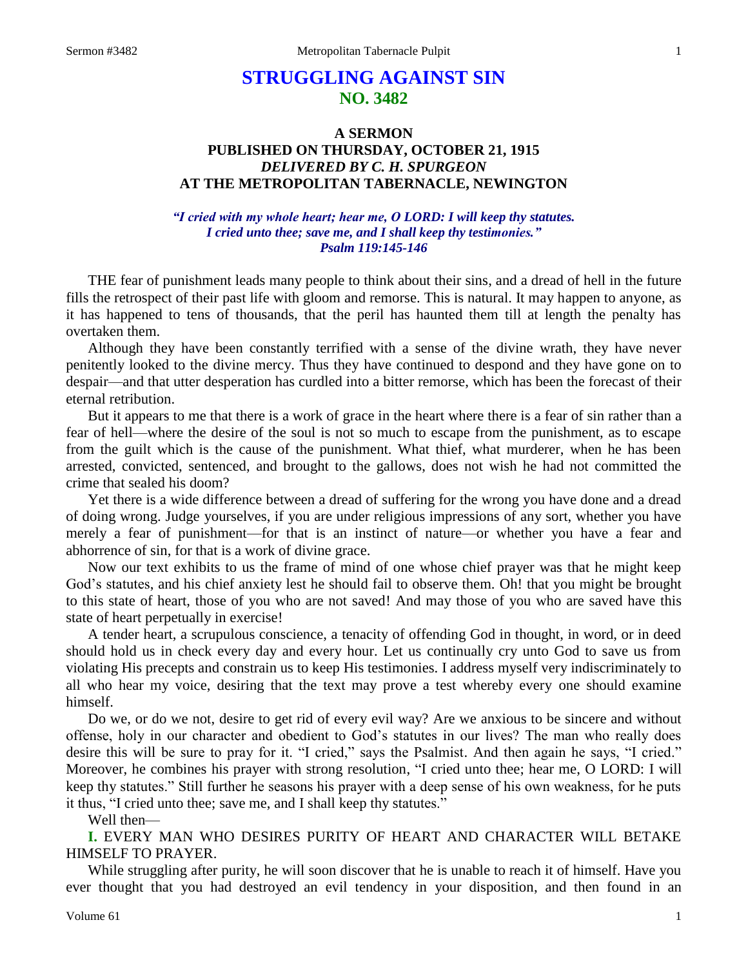# **STRUGGLING AGAINST SIN NO. 3482**

## **A SERMON PUBLISHED ON THURSDAY, OCTOBER 21, 1915** *DELIVERED BY C. H. SPURGEON* **AT THE METROPOLITAN TABERNACLE, NEWINGTON**

### *"I cried with my whole heart; hear me, O LORD: I will keep thy statutes. I cried unto thee; save me, and I shall keep thy testimonies." Psalm 119:145-146*

THE fear of punishment leads many people to think about their sins, and a dread of hell in the future fills the retrospect of their past life with gloom and remorse. This is natural. It may happen to anyone, as it has happened to tens of thousands, that the peril has haunted them till at length the penalty has overtaken them.

Although they have been constantly terrified with a sense of the divine wrath, they have never penitently looked to the divine mercy. Thus they have continued to despond and they have gone on to despair—and that utter desperation has curdled into a bitter remorse, which has been the forecast of their eternal retribution.

But it appears to me that there is a work of grace in the heart where there is a fear of sin rather than a fear of hell—where the desire of the soul is not so much to escape from the punishment, as to escape from the guilt which is the cause of the punishment. What thief, what murderer, when he has been arrested, convicted, sentenced, and brought to the gallows, does not wish he had not committed the crime that sealed his doom?

Yet there is a wide difference between a dread of suffering for the wrong you have done and a dread of doing wrong. Judge yourselves, if you are under religious impressions of any sort, whether you have merely a fear of punishment—for that is an instinct of nature—or whether you have a fear and abhorrence of sin, for that is a work of divine grace.

Now our text exhibits to us the frame of mind of one whose chief prayer was that he might keep God's statutes, and his chief anxiety lest he should fail to observe them. Oh! that you might be brought to this state of heart, those of you who are not saved! And may those of you who are saved have this state of heart perpetually in exercise!

A tender heart, a scrupulous conscience, a tenacity of offending God in thought, in word, or in deed should hold us in check every day and every hour. Let us continually cry unto God to save us from violating His precepts and constrain us to keep His testimonies. I address myself very indiscriminately to all who hear my voice, desiring that the text may prove a test whereby every one should examine himself.

Do we, or do we not, desire to get rid of every evil way? Are we anxious to be sincere and without offense, holy in our character and obedient to God's statutes in our lives? The man who really does desire this will be sure to pray for it. "I cried," says the Psalmist. And then again he says, "I cried." Moreover, he combines his prayer with strong resolution, "I cried unto thee; hear me, O LORD: I will keep thy statutes." Still further he seasons his prayer with a deep sense of his own weakness, for he puts it thus, "I cried unto thee; save me, and I shall keep thy statutes."

Well then—

**I.** EVERY MAN WHO DESIRES PURITY OF HEART AND CHARACTER WILL BETAKE HIMSELF TO PRAYER.

While struggling after purity, he will soon discover that he is unable to reach it of himself. Have you ever thought that you had destroyed an evil tendency in your disposition, and then found in an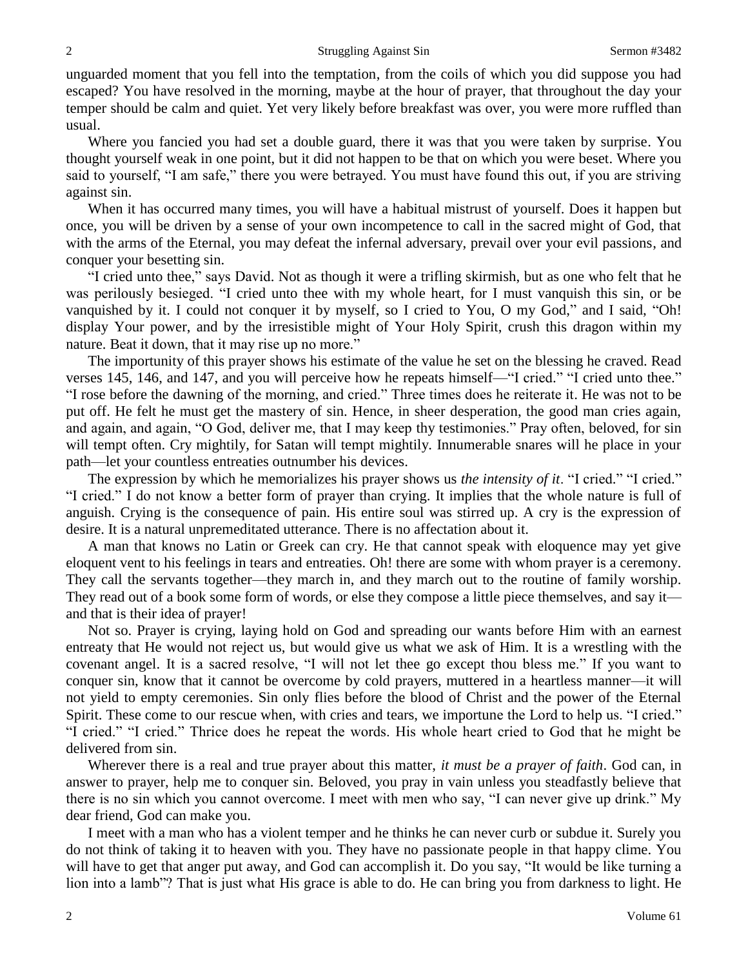unguarded moment that you fell into the temptation, from the coils of which you did suppose you had escaped? You have resolved in the morning, maybe at the hour of prayer, that throughout the day your temper should be calm and quiet. Yet very likely before breakfast was over, you were more ruffled than usual.

Where you fancied you had set a double guard, there it was that you were taken by surprise. You thought yourself weak in one point, but it did not happen to be that on which you were beset. Where you said to yourself, "I am safe," there you were betrayed. You must have found this out, if you are striving against sin.

When it has occurred many times, you will have a habitual mistrust of yourself. Does it happen but once, you will be driven by a sense of your own incompetence to call in the sacred might of God, that with the arms of the Eternal, you may defeat the infernal adversary, prevail over your evil passions, and conquer your besetting sin.

"I cried unto thee," says David. Not as though it were a trifling skirmish, but as one who felt that he was perilously besieged. "I cried unto thee with my whole heart, for I must vanquish this sin, or be vanquished by it. I could not conquer it by myself, so I cried to You, O my God," and I said, "Oh! display Your power, and by the irresistible might of Your Holy Spirit, crush this dragon within my nature. Beat it down, that it may rise up no more."

The importunity of this prayer shows his estimate of the value he set on the blessing he craved. Read verses 145, 146, and 147, and you will perceive how he repeats himself—"I cried." "I cried unto thee." "I rose before the dawning of the morning, and cried." Three times does he reiterate it. He was not to be put off. He felt he must get the mastery of sin. Hence, in sheer desperation, the good man cries again, and again, and again, "O God, deliver me, that I may keep thy testimonies." Pray often, beloved, for sin will tempt often. Cry mightily, for Satan will tempt mightily. Innumerable snares will he place in your path—let your countless entreaties outnumber his devices.

The expression by which he memorializes his prayer shows us *the intensity of it*. "I cried." "I cried." "I cried." I do not know a better form of prayer than crying. It implies that the whole nature is full of anguish. Crying is the consequence of pain. His entire soul was stirred up. A cry is the expression of desire. It is a natural unpremeditated utterance. There is no affectation about it.

A man that knows no Latin or Greek can cry. He that cannot speak with eloquence may yet give eloquent vent to his feelings in tears and entreaties. Oh! there are some with whom prayer is a ceremony. They call the servants together—they march in, and they march out to the routine of family worship. They read out of a book some form of words, or else they compose a little piece themselves, and say it and that is their idea of prayer!

Not so. Prayer is crying, laying hold on God and spreading our wants before Him with an earnest entreaty that He would not reject us, but would give us what we ask of Him. It is a wrestling with the covenant angel. It is a sacred resolve, "I will not let thee go except thou bless me." If you want to conquer sin, know that it cannot be overcome by cold prayers, muttered in a heartless manner—it will not yield to empty ceremonies. Sin only flies before the blood of Christ and the power of the Eternal Spirit. These come to our rescue when, with cries and tears, we importune the Lord to help us. "I cried." "I cried." "I cried." Thrice does he repeat the words. His whole heart cried to God that he might be delivered from sin.

Wherever there is a real and true prayer about this matter, *it must be a prayer of faith*. God can, in answer to prayer, help me to conquer sin. Beloved, you pray in vain unless you steadfastly believe that there is no sin which you cannot overcome. I meet with men who say, "I can never give up drink." My dear friend, God can make you.

I meet with a man who has a violent temper and he thinks he can never curb or subdue it. Surely you do not think of taking it to heaven with you. They have no passionate people in that happy clime. You will have to get that anger put away, and God can accomplish it. Do you say, "It would be like turning a lion into a lamb"? That is just what His grace is able to do. He can bring you from darkness to light. He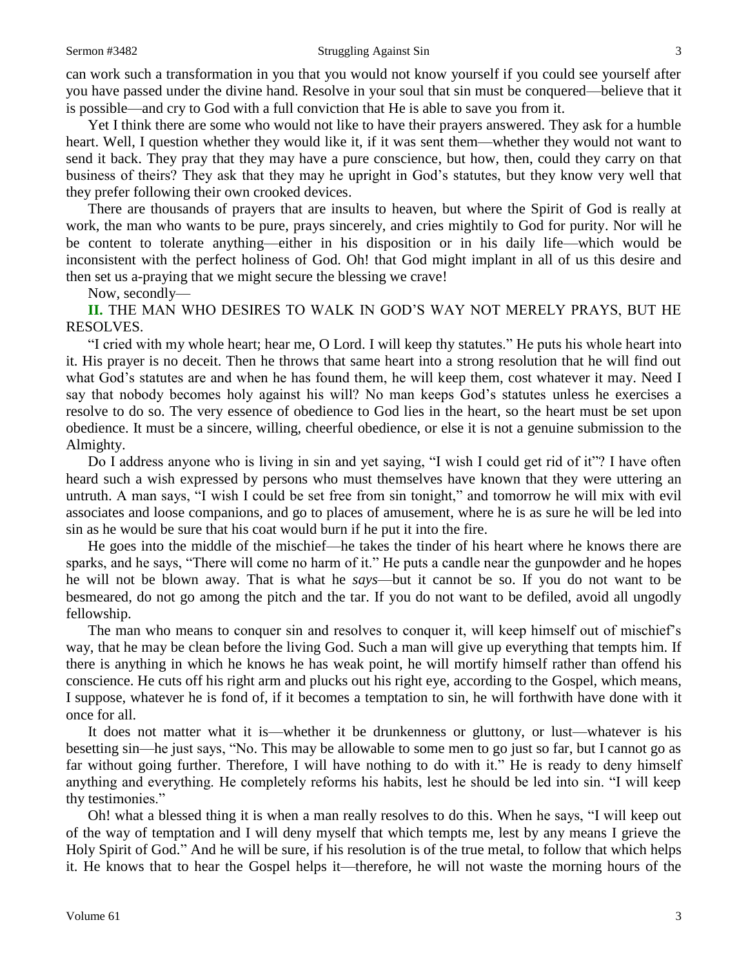#### Sermon #3482 Struggling Against Sin 3

can work such a transformation in you that you would not know yourself if you could see yourself after you have passed under the divine hand. Resolve in your soul that sin must be conquered—believe that it is possible—and cry to God with a full conviction that He is able to save you from it.

Yet I think there are some who would not like to have their prayers answered. They ask for a humble heart. Well, I question whether they would like it, if it was sent them—whether they would not want to send it back. They pray that they may have a pure conscience, but how, then, could they carry on that business of theirs? They ask that they may he upright in God's statutes, but they know very well that they prefer following their own crooked devices.

There are thousands of prayers that are insults to heaven, but where the Spirit of God is really at work, the man who wants to be pure, prays sincerely, and cries mightily to God for purity. Nor will he be content to tolerate anything—either in his disposition or in his daily life—which would be inconsistent with the perfect holiness of God. Oh! that God might implant in all of us this desire and then set us a-praying that we might secure the blessing we crave!

Now, secondly—

**II.** THE MAN WHO DESIRES TO WALK IN GOD'S WAY NOT MERELY PRAYS, BUT HE RESOLVES.

"I cried with my whole heart; hear me, O Lord. I will keep thy statutes." He puts his whole heart into it. His prayer is no deceit. Then he throws that same heart into a strong resolution that he will find out what God's statutes are and when he has found them, he will keep them, cost whatever it may. Need I say that nobody becomes holy against his will? No man keeps God's statutes unless he exercises a resolve to do so. The very essence of obedience to God lies in the heart, so the heart must be set upon obedience. It must be a sincere, willing, cheerful obedience, or else it is not a genuine submission to the Almighty.

Do I address anyone who is living in sin and yet saying, "I wish I could get rid of it"? I have often heard such a wish expressed by persons who must themselves have known that they were uttering an untruth. A man says, "I wish I could be set free from sin tonight," and tomorrow he will mix with evil associates and loose companions, and go to places of amusement, where he is as sure he will be led into sin as he would be sure that his coat would burn if he put it into the fire.

He goes into the middle of the mischief—he takes the tinder of his heart where he knows there are sparks, and he says, "There will come no harm of it." He puts a candle near the gunpowder and he hopes he will not be blown away. That is what he *says*—but it cannot be so. If you do not want to be besmeared, do not go among the pitch and the tar. If you do not want to be defiled, avoid all ungodly fellowship.

The man who means to conquer sin and resolves to conquer it, will keep himself out of mischief's way, that he may be clean before the living God. Such a man will give up everything that tempts him. If there is anything in which he knows he has weak point, he will mortify himself rather than offend his conscience. He cuts off his right arm and plucks out his right eye, according to the Gospel, which means, I suppose, whatever he is fond of, if it becomes a temptation to sin, he will forthwith have done with it once for all.

It does not matter what it is—whether it be drunkenness or gluttony, or lust—whatever is his besetting sin—he just says, "No. This may be allowable to some men to go just so far, but I cannot go as far without going further. Therefore, I will have nothing to do with it." He is ready to deny himself anything and everything. He completely reforms his habits, lest he should be led into sin. "I will keep thy testimonies."

Oh! what a blessed thing it is when a man really resolves to do this. When he says, "I will keep out of the way of temptation and I will deny myself that which tempts me, lest by any means I grieve the Holy Spirit of God." And he will be sure, if his resolution is of the true metal, to follow that which helps it. He knows that to hear the Gospel helps it—therefore, he will not waste the morning hours of the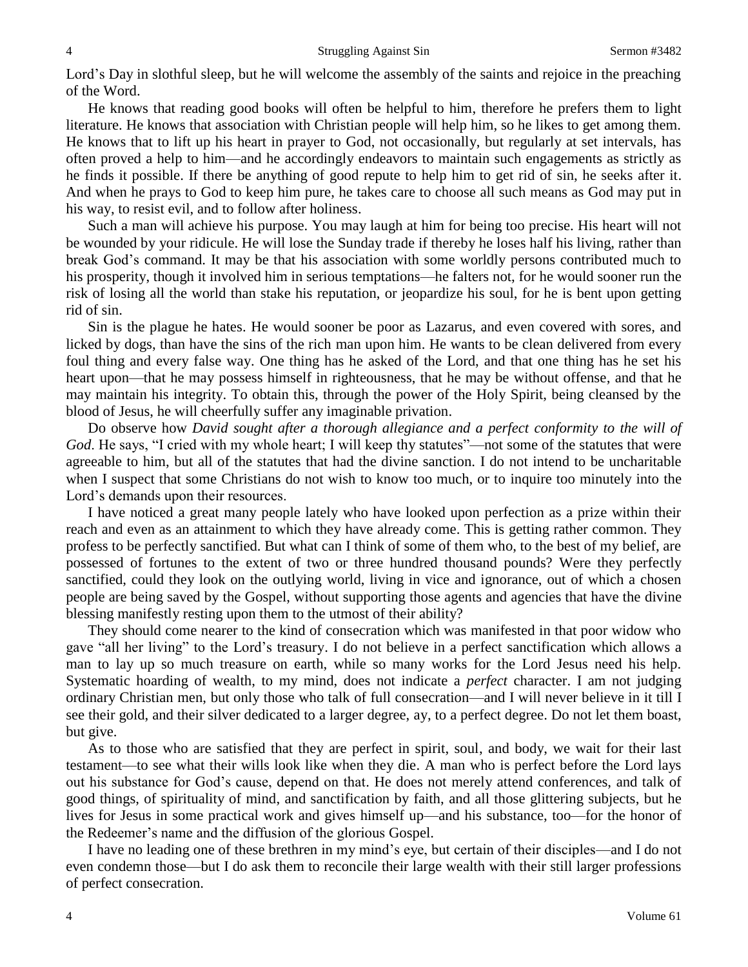Lord's Day in slothful sleep, but he will welcome the assembly of the saints and rejoice in the preaching of the Word.

He knows that reading good books will often be helpful to him, therefore he prefers them to light literature. He knows that association with Christian people will help him, so he likes to get among them. He knows that to lift up his heart in prayer to God, not occasionally, but regularly at set intervals, has often proved a help to him—and he accordingly endeavors to maintain such engagements as strictly as he finds it possible. If there be anything of good repute to help him to get rid of sin, he seeks after it. And when he prays to God to keep him pure, he takes care to choose all such means as God may put in his way, to resist evil, and to follow after holiness.

Such a man will achieve his purpose. You may laugh at him for being too precise. His heart will not be wounded by your ridicule. He will lose the Sunday trade if thereby he loses half his living, rather than break God's command. It may be that his association with some worldly persons contributed much to his prosperity, though it involved him in serious temptations—he falters not, for he would sooner run the risk of losing all the world than stake his reputation, or jeopardize his soul, for he is bent upon getting rid of sin.

Sin is the plague he hates. He would sooner be poor as Lazarus, and even covered with sores, and licked by dogs, than have the sins of the rich man upon him. He wants to be clean delivered from every foul thing and every false way. One thing has he asked of the Lord, and that one thing has he set his heart upon—that he may possess himself in righteousness, that he may be without offense, and that he may maintain his integrity. To obtain this, through the power of the Holy Spirit, being cleansed by the blood of Jesus, he will cheerfully suffer any imaginable privation.

Do observe how *David sought after a thorough allegiance and a perfect conformity to the will of God*. He says, "I cried with my whole heart; I will keep thy statutes"—not some of the statutes that were agreeable to him, but all of the statutes that had the divine sanction. I do not intend to be uncharitable when I suspect that some Christians do not wish to know too much, or to inquire too minutely into the Lord's demands upon their resources.

I have noticed a great many people lately who have looked upon perfection as a prize within their reach and even as an attainment to which they have already come. This is getting rather common. They profess to be perfectly sanctified. But what can I think of some of them who, to the best of my belief, are possessed of fortunes to the extent of two or three hundred thousand pounds? Were they perfectly sanctified, could they look on the outlying world, living in vice and ignorance, out of which a chosen people are being saved by the Gospel, without supporting those agents and agencies that have the divine blessing manifestly resting upon them to the utmost of their ability?

They should come nearer to the kind of consecration which was manifested in that poor widow who gave "all her living" to the Lord's treasury. I do not believe in a perfect sanctification which allows a man to lay up so much treasure on earth, while so many works for the Lord Jesus need his help. Systematic hoarding of wealth, to my mind, does not indicate a *perfect* character. I am not judging ordinary Christian men, but only those who talk of full consecration—and I will never believe in it till I see their gold, and their silver dedicated to a larger degree, ay, to a perfect degree. Do not let them boast, but give.

As to those who are satisfied that they are perfect in spirit, soul, and body, we wait for their last testament—to see what their wills look like when they die. A man who is perfect before the Lord lays out his substance for God's cause, depend on that. He does not merely attend conferences, and talk of good things, of spirituality of mind, and sanctification by faith, and all those glittering subjects, but he lives for Jesus in some practical work and gives himself up—and his substance, too—for the honor of the Redeemer's name and the diffusion of the glorious Gospel.

I have no leading one of these brethren in my mind's eye, but certain of their disciples—and I do not even condemn those—but I do ask them to reconcile their large wealth with their still larger professions of perfect consecration.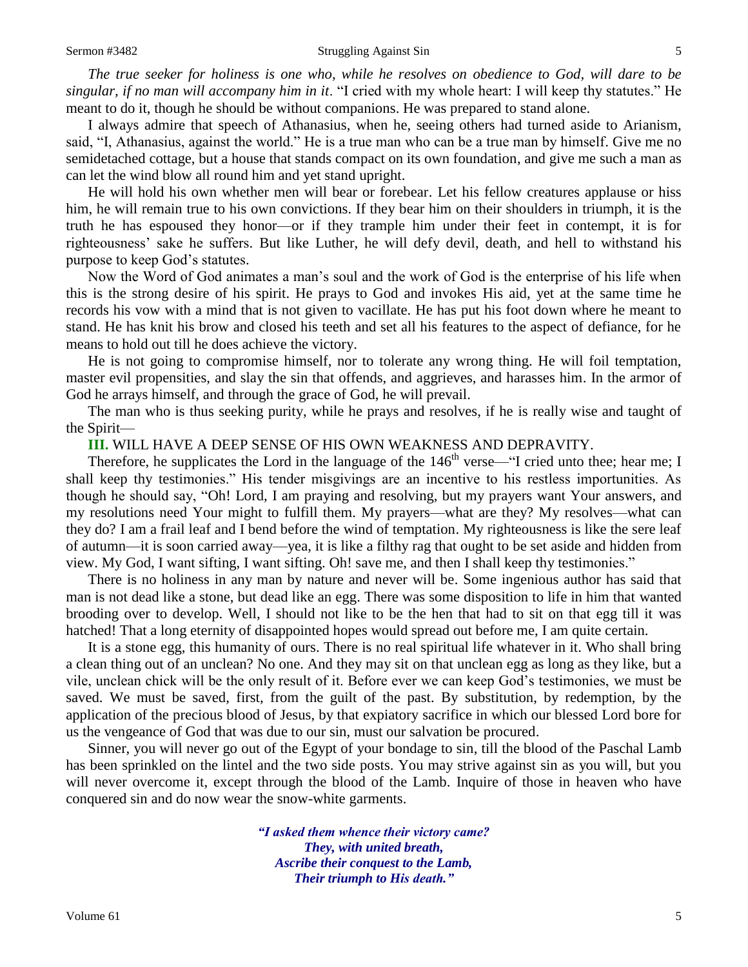#### Sermon #3482 Struggling Against Sin 5

*The true seeker for holiness is one who, while he resolves on obedience to God, will dare to be singular, if no man will accompany him in it*. "I cried with my whole heart: I will keep thy statutes." He meant to do it, though he should be without companions. He was prepared to stand alone.

I always admire that speech of Athanasius, when he, seeing others had turned aside to Arianism, said, "I, Athanasius, against the world." He is a true man who can be a true man by himself. Give me no semidetached cottage, but a house that stands compact on its own foundation, and give me such a man as can let the wind blow all round him and yet stand upright.

He will hold his own whether men will bear or forebear. Let his fellow creatures applause or hiss him, he will remain true to his own convictions. If they bear him on their shoulders in triumph, it is the truth he has espoused they honor—or if they trample him under their feet in contempt, it is for righteousness' sake he suffers. But like Luther, he will defy devil, death, and hell to withstand his purpose to keep God's statutes.

Now the Word of God animates a man's soul and the work of God is the enterprise of his life when this is the strong desire of his spirit. He prays to God and invokes His aid, yet at the same time he records his vow with a mind that is not given to vacillate. He has put his foot down where he meant to stand. He has knit his brow and closed his teeth and set all his features to the aspect of defiance, for he means to hold out till he does achieve the victory.

He is not going to compromise himself, nor to tolerate any wrong thing. He will foil temptation, master evil propensities, and slay the sin that offends, and aggrieves, and harasses him. In the armor of God he arrays himself, and through the grace of God, he will prevail.

The man who is thus seeking purity, while he prays and resolves, if he is really wise and taught of the Spirit—

## **III.** WILL HAVE A DEEP SENSE OF HIS OWN WEAKNESS AND DEPRAVITY.

Therefore, he supplicates the Lord in the language of the  $146<sup>th</sup>$  verse—"I cried unto thee; hear me; I shall keep thy testimonies." His tender misgivings are an incentive to his restless importunities. As though he should say, "Oh! Lord, I am praying and resolving, but my prayers want Your answers, and my resolutions need Your might to fulfill them. My prayers—what are they? My resolves—what can they do? I am a frail leaf and I bend before the wind of temptation. My righteousness is like the sere leaf of autumn—it is soon carried away—yea, it is like a filthy rag that ought to be set aside and hidden from view. My God, I want sifting, I want sifting. Oh! save me, and then I shall keep thy testimonies."

There is no holiness in any man by nature and never will be. Some ingenious author has said that man is not dead like a stone, but dead like an egg. There was some disposition to life in him that wanted brooding over to develop. Well, I should not like to be the hen that had to sit on that egg till it was hatched! That a long eternity of disappointed hopes would spread out before me, I am quite certain.

It is a stone egg, this humanity of ours. There is no real spiritual life whatever in it. Who shall bring a clean thing out of an unclean? No one. And they may sit on that unclean egg as long as they like, but a vile, unclean chick will be the only result of it. Before ever we can keep God's testimonies, we must be saved. We must be saved, first, from the guilt of the past. By substitution, by redemption, by the application of the precious blood of Jesus, by that expiatory sacrifice in which our blessed Lord bore for us the vengeance of God that was due to our sin, must our salvation be procured.

Sinner, you will never go out of the Egypt of your bondage to sin, till the blood of the Paschal Lamb has been sprinkled on the lintel and the two side posts. You may strive against sin as you will, but you will never overcome it, except through the blood of the Lamb. Inquire of those in heaven who have conquered sin and do now wear the snow-white garments.

> *"I asked them whence their victory came? They, with united breath, Ascribe their conquest to the Lamb, Their triumph to His death."*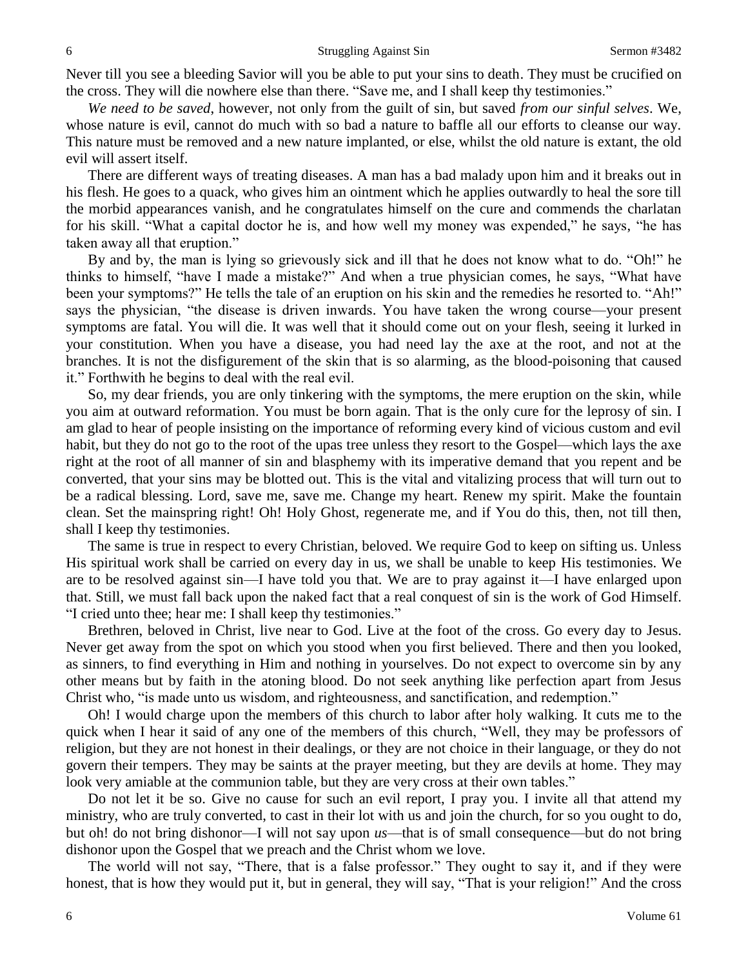Never till you see a bleeding Savior will you be able to put your sins to death. They must be crucified on the cross. They will die nowhere else than there. "Save me, and I shall keep thy testimonies."

*We need to be saved*, however, not only from the guilt of sin, but saved *from our sinful selves*. We, whose nature is evil, cannot do much with so bad a nature to baffle all our efforts to cleanse our way. This nature must be removed and a new nature implanted, or else, whilst the old nature is extant, the old evil will assert itself.

There are different ways of treating diseases. A man has a bad malady upon him and it breaks out in his flesh. He goes to a quack, who gives him an ointment which he applies outwardly to heal the sore till the morbid appearances vanish, and he congratulates himself on the cure and commends the charlatan for his skill. "What a capital doctor he is, and how well my money was expended," he says, "he has taken away all that eruption."

By and by, the man is lying so grievously sick and ill that he does not know what to do. "Oh!" he thinks to himself, "have I made a mistake?" And when a true physician comes, he says, "What have been your symptoms?" He tells the tale of an eruption on his skin and the remedies he resorted to. "Ah!" says the physician, "the disease is driven inwards. You have taken the wrong course—your present symptoms are fatal. You will die. It was well that it should come out on your flesh, seeing it lurked in your constitution. When you have a disease, you had need lay the axe at the root, and not at the branches. It is not the disfigurement of the skin that is so alarming, as the blood-poisoning that caused it." Forthwith he begins to deal with the real evil.

So, my dear friends, you are only tinkering with the symptoms, the mere eruption on the skin, while you aim at outward reformation. You must be born again. That is the only cure for the leprosy of sin. I am glad to hear of people insisting on the importance of reforming every kind of vicious custom and evil habit, but they do not go to the root of the upas tree unless they resort to the Gospel—which lays the axe right at the root of all manner of sin and blasphemy with its imperative demand that you repent and be converted, that your sins may be blotted out. This is the vital and vitalizing process that will turn out to be a radical blessing. Lord, save me, save me. Change my heart. Renew my spirit. Make the fountain clean. Set the mainspring right! Oh! Holy Ghost, regenerate me, and if You do this, then, not till then, shall I keep thy testimonies.

The same is true in respect to every Christian, beloved. We require God to keep on sifting us. Unless His spiritual work shall be carried on every day in us, we shall be unable to keep His testimonies. We are to be resolved against sin—I have told you that. We are to pray against it—I have enlarged upon that. Still, we must fall back upon the naked fact that a real conquest of sin is the work of God Himself. "I cried unto thee; hear me: I shall keep thy testimonies."

Brethren, beloved in Christ, live near to God. Live at the foot of the cross. Go every day to Jesus. Never get away from the spot on which you stood when you first believed. There and then you looked, as sinners, to find everything in Him and nothing in yourselves. Do not expect to overcome sin by any other means but by faith in the atoning blood. Do not seek anything like perfection apart from Jesus Christ who, "is made unto us wisdom, and righteousness, and sanctification, and redemption."

Oh! I would charge upon the members of this church to labor after holy walking. It cuts me to the quick when I hear it said of any one of the members of this church, "Well, they may be professors of religion, but they are not honest in their dealings, or they are not choice in their language, or they do not govern their tempers. They may be saints at the prayer meeting, but they are devils at home. They may look very amiable at the communion table, but they are very cross at their own tables."

Do not let it be so. Give no cause for such an evil report, I pray you. I invite all that attend my ministry, who are truly converted, to cast in their lot with us and join the church, for so you ought to do, but oh! do not bring dishonor—I will not say upon *us*—that is of small consequence—but do not bring dishonor upon the Gospel that we preach and the Christ whom we love.

The world will not say, "There, that is a false professor." They ought to say it, and if they were honest, that is how they would put it, but in general, they will say, "That is your religion!" And the cross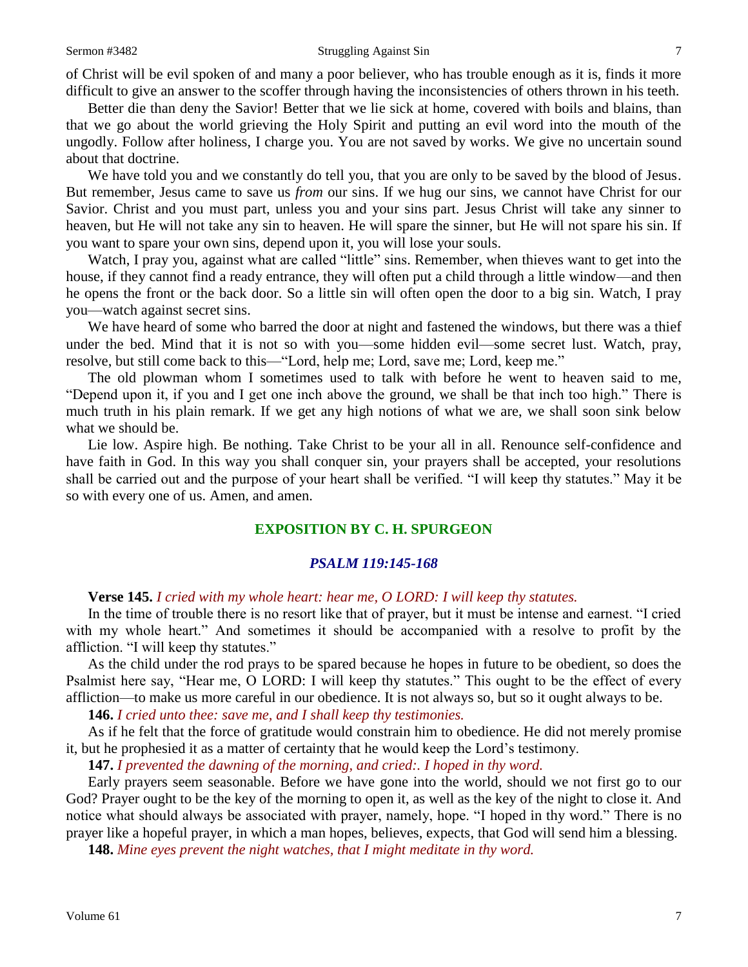### Sermon #3482 Struggling Against Sin 7

of Christ will be evil spoken of and many a poor believer, who has trouble enough as it is, finds it more difficult to give an answer to the scoffer through having the inconsistencies of others thrown in his teeth.

Better die than deny the Savior! Better that we lie sick at home, covered with boils and blains, than that we go about the world grieving the Holy Spirit and putting an evil word into the mouth of the ungodly. Follow after holiness, I charge you. You are not saved by works. We give no uncertain sound about that doctrine.

We have told you and we constantly do tell you, that you are only to be saved by the blood of Jesus. But remember, Jesus came to save us *from* our sins. If we hug our sins, we cannot have Christ for our Savior. Christ and you must part, unless you and your sins part. Jesus Christ will take any sinner to heaven, but He will not take any sin to heaven. He will spare the sinner, but He will not spare his sin. If you want to spare your own sins, depend upon it, you will lose your souls.

Watch, I pray you, against what are called "little" sins. Remember, when thieves want to get into the house, if they cannot find a ready entrance, they will often put a child through a little window—and then he opens the front or the back door. So a little sin will often open the door to a big sin. Watch, I pray you—watch against secret sins.

We have heard of some who barred the door at night and fastened the windows, but there was a thief under the bed. Mind that it is not so with you—some hidden evil—some secret lust. Watch, pray, resolve, but still come back to this—"Lord, help me; Lord, save me; Lord, keep me."

The old plowman whom I sometimes used to talk with before he went to heaven said to me, "Depend upon it, if you and I get one inch above the ground, we shall be that inch too high." There is much truth in his plain remark. If we get any high notions of what we are, we shall soon sink below what we should be.

Lie low. Aspire high. Be nothing. Take Christ to be your all in all. Renounce self-confidence and have faith in God. In this way you shall conquer sin, your prayers shall be accepted, your resolutions shall be carried out and the purpose of your heart shall be verified. "I will keep thy statutes." May it be so with every one of us. Amen, and amen.

## **EXPOSITION BY C. H. SPURGEON**

### *PSALM 119:145-168*

**Verse 145.** *I cried with my whole heart: hear me, O LORD: I will keep thy statutes.* 

In the time of trouble there is no resort like that of prayer, but it must be intense and earnest. "I cried with my whole heart." And sometimes it should be accompanied with a resolve to profit by the affliction. "I will keep thy statutes."

As the child under the rod prays to be spared because he hopes in future to be obedient, so does the Psalmist here say, "Hear me, O LORD: I will keep thy statutes." This ought to be the effect of every affliction—to make us more careful in our obedience. It is not always so, but so it ought always to be.

**146.** *I cried unto thee: save me, and I shall keep thy testimonies.* 

As if he felt that the force of gratitude would constrain him to obedience. He did not merely promise it, but he prophesied it as a matter of certainty that he would keep the Lord's testimony.

**147.** *I prevented the dawning of the morning, and cried:. I hoped in thy word.* 

Early prayers seem seasonable. Before we have gone into the world, should we not first go to our God? Prayer ought to be the key of the morning to open it, as well as the key of the night to close it. And notice what should always be associated with prayer, namely, hope. "I hoped in thy word." There is no prayer like a hopeful prayer, in which a man hopes, believes, expects, that God will send him a blessing.

**148.** *Mine eyes prevent the night watches, that I might meditate in thy word.*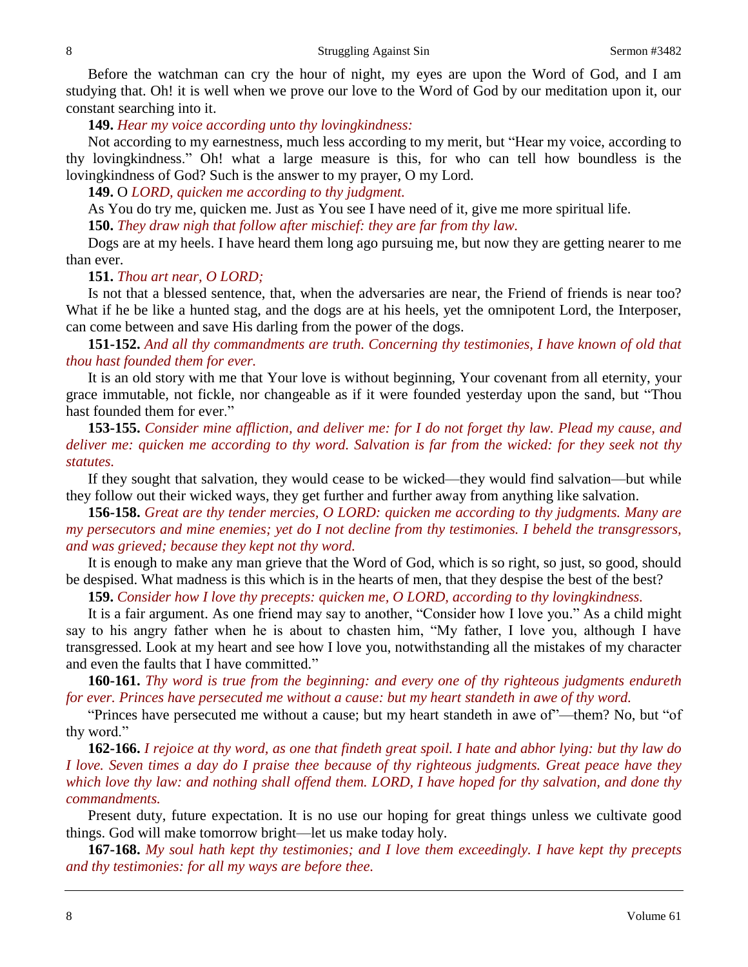Before the watchman can cry the hour of night, my eyes are upon the Word of God, and I am studying that. Oh! it is well when we prove our love to the Word of God by our meditation upon it, our constant searching into it.

**149.** *Hear my voice according unto thy lovingkindness:*

Not according to my earnestness, much less according to my merit, but "Hear my voice, according to thy lovingkindness." Oh! what a large measure is this, for who can tell how boundless is the lovingkindness of God? Such is the answer to my prayer, O my Lord.

**149.** O *LORD, quicken me according to thy judgment.* 

As You do try me, quicken me. Just as You see I have need of it, give me more spiritual life.

**150.** *They draw nigh that follow after mischief: they are far from thy law.* 

Dogs are at my heels. I have heard them long ago pursuing me, but now they are getting nearer to me than ever.

## **151.** *Thou art near, O LORD;*

Is not that a blessed sentence, that, when the adversaries are near, the Friend of friends is near too? What if he be like a hunted stag, and the dogs are at his heels, yet the omnipotent Lord, the Interposer, can come between and save His darling from the power of the dogs.

**151-152.** *And all thy commandments are truth. Concerning thy testimonies, I have known of old that thou hast founded them for ever.* 

It is an old story with me that Your love is without beginning, Your covenant from all eternity, your grace immutable, not fickle, nor changeable as if it were founded yesterday upon the sand, but "Thou hast founded them for ever."

**153-155.** *Consider mine affliction, and deliver me: for I do not forget thy law. Plead my cause, and deliver me: quicken me according to thy word. Salvation is far from the wicked: for they seek not thy statutes.* 

If they sought that salvation, they would cease to be wicked—they would find salvation—but while they follow out their wicked ways, they get further and further away from anything like salvation.

**156-158.** *Great are thy tender mercies, O LORD: quicken me according to thy judgments. Many are my persecutors and mine enemies; yet do I not decline from thy testimonies. I beheld the transgressors, and was grieved; because they kept not thy word.* 

It is enough to make any man grieve that the Word of God, which is so right, so just, so good, should be despised. What madness is this which is in the hearts of men, that they despise the best of the best?

**159.** *Consider how I love thy precepts: quicken me, O LORD, according to thy lovingkindness.* 

It is a fair argument. As one friend may say to another, "Consider how I love you." As a child might say to his angry father when he is about to chasten him, "My father, I love you, although I have transgressed. Look at my heart and see how I love you, notwithstanding all the mistakes of my character and even the faults that I have committed."

**160-161.** *Thy word is true from the beginning: and every one of thy righteous judgments endureth for ever. Princes have persecuted me without a cause: but my heart standeth in awe of thy word.*

"Princes have persecuted me without a cause; but my heart standeth in awe of"—them? No, but "of thy word."

**162-166.** *I rejoice at thy word, as one that findeth great spoil. I hate and abhor lying: but thy law do I love. Seven times a day do I praise thee because of thy righteous judgments. Great peace have they which love thy law: and nothing shall offend them. LORD, I have hoped for thy salvation, and done thy commandments.* 

Present duty, future expectation. It is no use our hoping for great things unless we cultivate good things. God will make tomorrow bright—let us make today holy.

**167-168.** *My soul hath kept thy testimonies; and I love them exceedingly. I have kept thy precepts and thy testimonies: for all my ways are before thee.*